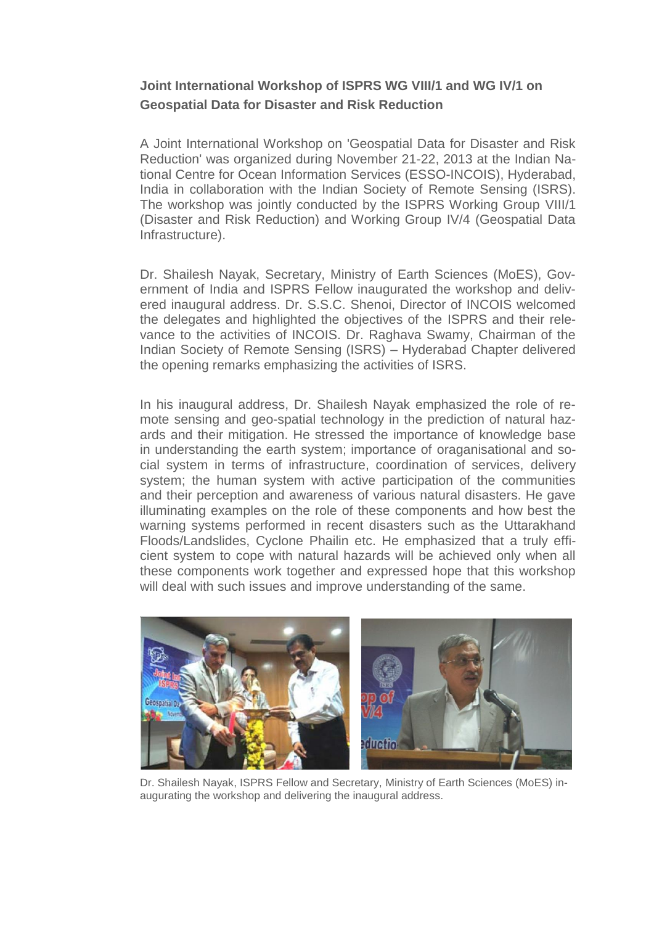## **Joint International Workshop of ISPRS WG VIII/1 and WG IV/1 on Geospatial Data for Disaster and Risk Reduction**

A Joint International Workshop on 'Geospatial Data for Disaster and Risk Reduction' was organized during November 21-22, 2013 at the Indian National Centre for Ocean Information Services (ESSO-INCOIS), Hyderabad, India in collaboration with the Indian Society of Remote Sensing (ISRS). The workshop was jointly conducted by the ISPRS Working Group VIII/1 (Disaster and Risk Reduction) and Working Group IV/4 (Geospatial Data Infrastructure).

Dr. Shailesh Nayak, Secretary, Ministry of Earth Sciences (MoES), Government of India and ISPRS Fellow inaugurated the workshop and delivered inaugural address. Dr. S.S.C. Shenoi, Director of INCOIS welcomed the delegates and highlighted the objectives of the ISPRS and their relevance to the activities of INCOIS. Dr. Raghava Swamy, Chairman of the Indian Society of Remote Sensing (ISRS) – Hyderabad Chapter delivered the opening remarks emphasizing the activities of ISRS.

In his inaugural address, Dr. Shailesh Nayak emphasized the role of remote sensing and geo-spatial technology in the prediction of natural hazards and their mitigation. He stressed the importance of knowledge base in understanding the earth system; importance of oraganisational and social system in terms of infrastructure, coordination of services, delivery system; the human system with active participation of the communities and their perception and awareness of various natural disasters. He gave illuminating examples on the role of these components and how best the warning systems performed in recent disasters such as the Uttarakhand Floods/Landslides, Cyclone Phailin etc. He emphasized that a truly efficient system to cope with natural hazards will be achieved only when all these components work together and expressed hope that this workshop will deal with such issues and improve understanding of the same.



Dr. Shailesh Nayak, ISPRS Fellow and Secretary, Ministry of Earth Sciences (MoES) inaugurating the workshop and delivering the inaugural address.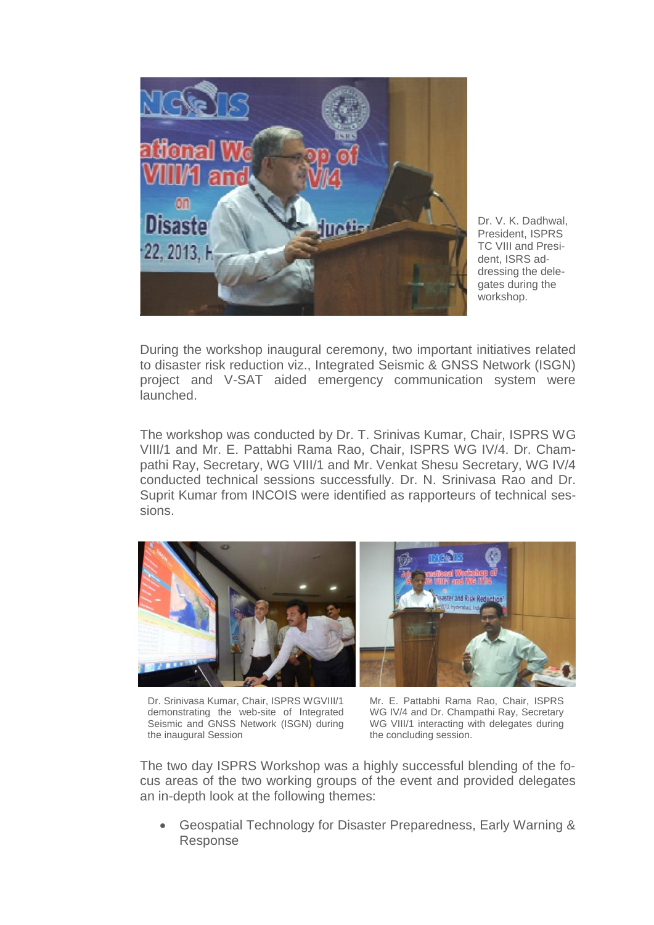

Dr. V. K. Dadhwal, President, ISPRS TC VIII and President, ISRS addressing the delegates during the workshop.

During the workshop inaugural ceremony, two important initiatives related to disaster risk reduction viz., Integrated Seismic & GNSS Network (ISGN) project and V-SAT aided emergency communication system were launched.

The workshop was conducted by Dr. T. Srinivas Kumar, Chair, ISPRS WG VIII/1 and Mr. E. Pattabhi Rama Rao, Chair, ISPRS WG IV/4. Dr. Champathi Ray, Secretary, WG VIII/1 and Mr. Venkat Shesu Secretary, WG IV/4 conducted technical sessions successfully. Dr. N. Srinivasa Rao and Dr. Suprit Kumar from INCOIS were identified as rapporteurs of technical sessions.



Dr. Srinivasa Kumar, Chair, ISPRS WGVIII/1 demonstrating the web-site of Integrated Seismic and GNSS Network (ISGN) during the inaugural Session

Mr. E. Pattabhi Rama Rao, Chair, ISPRS WG IV/4 and Dr. Champathi Ray, Secretary WG VIII/1 interacting with delegates during the concluding session.

The two day ISPRS Workshop was a highly successful blending of the focus areas of the two working groups of the event and provided delegates an in-depth look at the following themes:

 Geospatial Technology for Disaster Preparedness, Early Warning & Response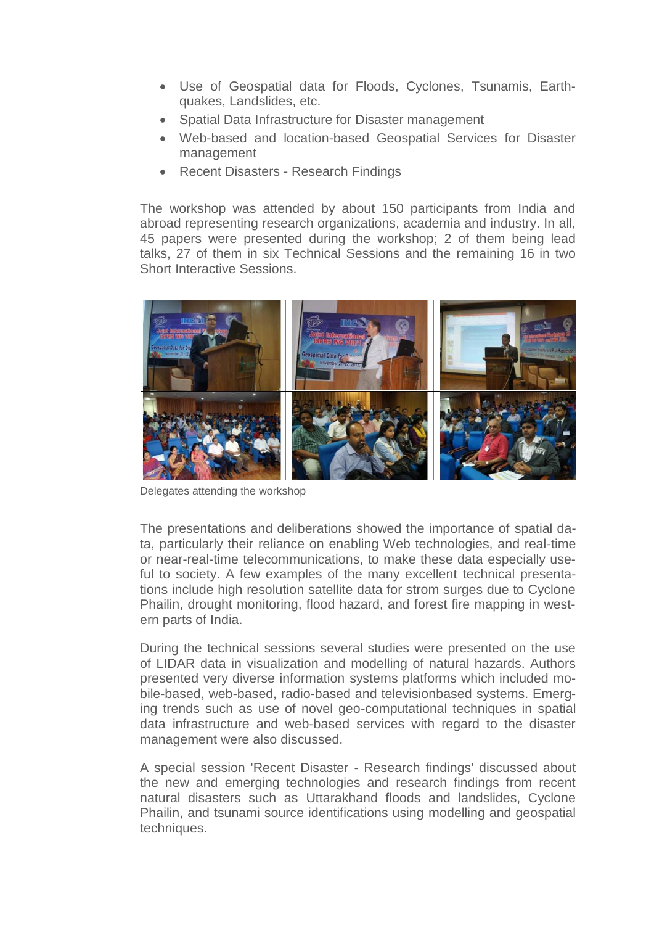- Use of Geospatial data for Floods, Cyclones, Tsunamis, Earthquakes, Landslides, etc.
- Spatial Data Infrastructure for Disaster management
- Web-based and location-based Geospatial Services for Disaster management
- Recent Disasters Research Findings

The workshop was attended by about 150 participants from India and abroad representing research organizations, academia and industry. In all, 45 papers were presented during the workshop; 2 of them being lead talks, 27 of them in six Technical Sessions and the remaining 16 in two Short Interactive Sessions.



Delegates attending the workshop

The presentations and deliberations showed the importance of spatial data, particularly their reliance on enabling Web technologies, and real-time or near-real-time telecommunications, to make these data especially useful to society. A few examples of the many excellent technical presentations include high resolution satellite data for strom surges due to Cyclone Phailin, drought monitoring, flood hazard, and forest fire mapping in western parts of India.

During the technical sessions several studies were presented on the use of LIDAR data in visualization and modelling of natural hazards. Authors presented very diverse information systems platforms which included mobile-based, web-based, radio-based and televisionbased systems. Emerging trends such as use of novel geo-computational techniques in spatial data infrastructure and web-based services with regard to the disaster management were also discussed.

A special session 'Recent Disaster - Research findings' discussed about the new and emerging technologies and research findings from recent natural disasters such as Uttarakhand floods and landslides, Cyclone Phailin, and tsunami source identifications using modelling and geospatial techniques.